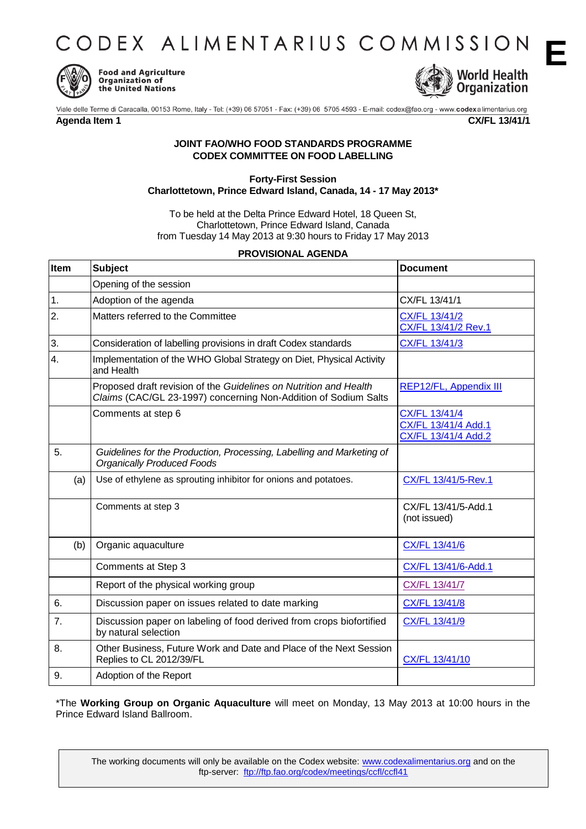CODEX ALIMENTARIUS COMMISSION



**Food and Agriculture Organization of** the United Nations



**E**

## **Agenda Item 1 CX/FL 13/41/1**

## **JOINT FAO/WHO FOOD STANDARDS PROGRAMME CODEX COMMITTEE ON FOOD LABELLING**

## **Forty-First Session Charlottetown, Prince Edward Island, Canada, 14 - 17 May 2013\***

To be held at the Delta Prince Edward Hotel, 18 Queen St, Charlottetown, Prince Edward Island, Canada from Tuesday 14 May 2013 at 9:30 hours to Friday 17 May 2013

## **PROVISIONAL AGENDA**

| Item |     | <b>Subject</b>                                                                                                                       | <b>Document</b>                                             |
|------|-----|--------------------------------------------------------------------------------------------------------------------------------------|-------------------------------------------------------------|
|      |     | Opening of the session                                                                                                               |                                                             |
| 1.   |     | Adoption of the agenda                                                                                                               | CX/FL 13/41/1                                               |
| 2.   |     | Matters referred to the Committee                                                                                                    | CX/FL 13/41/2<br>CX/FL 13/41/2 Rev.1                        |
| 3.   |     | Consideration of labelling provisions in draft Codex standards                                                                       | CX/FL 13/41/3                                               |
| 4.   |     | Implementation of the WHO Global Strategy on Diet, Physical Activity<br>and Health                                                   |                                                             |
|      |     | Proposed draft revision of the Guidelines on Nutrition and Health<br>Claims (CAC/GL 23-1997) concerning Non-Addition of Sodium Salts | REP12/FL, Appendix III                                      |
|      |     | Comments at step 6                                                                                                                   | CX/FL 13/41/4<br>CX/FL 13/41/4 Add.1<br>CX/FL 13/41/4 Add.2 |
| 5.   |     | Guidelines for the Production, Processing, Labelling and Marketing of<br><b>Organically Produced Foods</b>                           |                                                             |
|      | (a) | Use of ethylene as sprouting inhibitor for onions and potatoes.                                                                      | CX/FL 13/41/5-Rev.1                                         |
|      |     | Comments at step 3                                                                                                                   | CX/FL 13/41/5-Add.1<br>(not issued)                         |
|      | (b) | Organic aquaculture                                                                                                                  | CX/FL 13/41/6                                               |
|      |     | Comments at Step 3                                                                                                                   | CX/FL 13/41/6-Add.1                                         |
|      |     | Report of the physical working group                                                                                                 | CX/FL 13/41/7                                               |
| 6.   |     | Discussion paper on issues related to date marking                                                                                   | CX/FL 13/41/8                                               |
| 7.   |     | Discussion paper on labeling of food derived from crops biofortified<br>by natural selection                                         | CX/FL 13/41/9                                               |
| 8.   |     | Other Business, Future Work and Date and Place of the Next Session<br>Replies to CL 2012/39/FL                                       | CX/FL 13/41/10                                              |
| 9.   |     | Adoption of the Report                                                                                                               |                                                             |

\*The **Working Group on Organic Aquaculture** will meet on Monday, 13 May 2013 at 10:00 hours in the Prince Edward Island Ballroom.

The working documents will only be available on the Codex website: www.codexalimentarius.org and on the ftp-server: ftp://ftp.fao.org/codex/meetings/ccfl/ccfl41